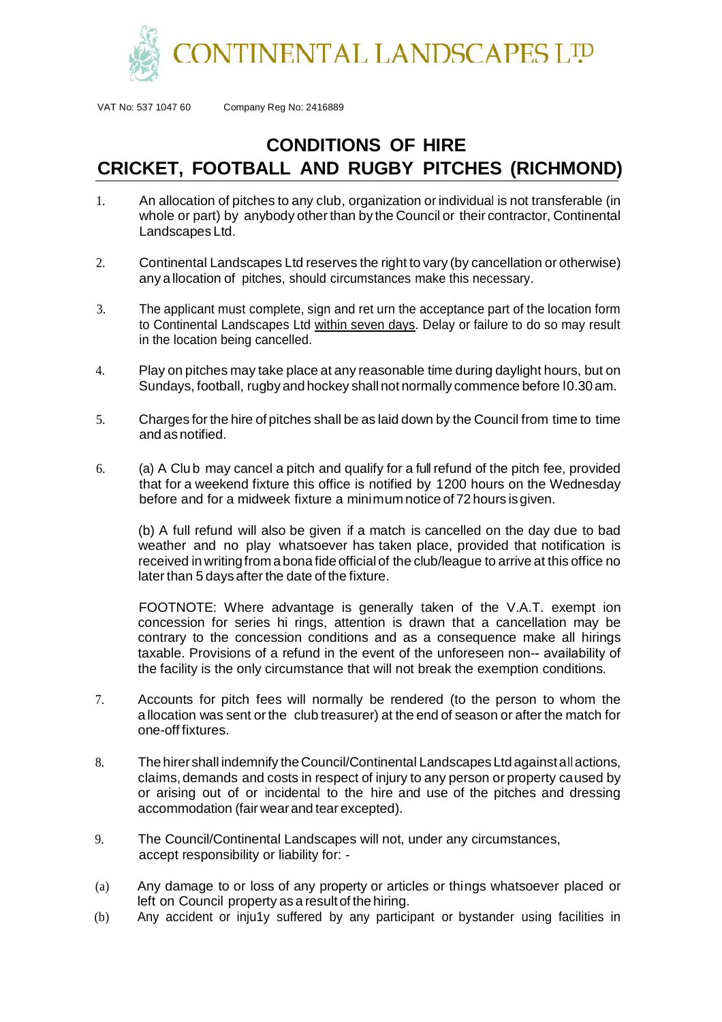

VAT No: 537 1047 60 Company Reg No: 2416889

## **CONDITIONS OF HIRE CRICKET, FOOTBALL AND RUGBY PITCHES (RICHMOND)**

- 1. An allocation of pitches to any club, organization or individual is not transferable (in whole or part) by anybody other than by the Council or their contractor, Continental Landscapes Ltd.
- 2. Continental Landscapes Ltd reserves the right to vary (by cancellation or otherwise) any a llocation of pitches, should circumstances make this necessary.
- 3. The applicant must complete, sign and ret urn the acceptance part of the location form to Continental Landscapes Ltd within seven days. Delay or failure to do so may result in the location being cancelled.
- 4. Play on pitches may take place at any reasonable time during daylight hours, but on Sundays, football, rugby and hockey shall not normally commence before l0.30 am.
- 5. Charges for the hire of pitches shall be as laid down by the Council from time to time and asnotified.
- 6. (a) A Clu b may cancel a pitch and qualify for a full refund of the pitch fee, provided that for a weekend fixture this office is notified by 1200 hours on the Wednesday before and for a midweek fixture a minimum notice of 72 hours is given.

(b) A full refund will also be given if a match is cancelled on the day due to bad weather and no play whatsoever has taken place, provided that notification is received in writingfrom a bona fide official of the club/league to arrive at this office no later than 5 days after the date of the fixture.

FOOTNOTE: Where advantage is generally taken of the V.A.T. exempt ion concession for series hi rings, attention is drawn that a cancellation may be contrary to the concession conditions and as a consequence make all hirings taxable. Provisions of a refund in the event of the unforeseen non- availability of the facility is the only circumstance that will not break the exemption conditions.

- 7. Accounts for pitch fees will normally be rendered (to the person to whom the a llocation was sent or the club treasurer) at the end of season or after the match for one-off fixtures.
- 8. The hirershall indemnify theCouncil/Continental Landscapes Ltd againstall actions, claims, demands and costs in respect of injury to any person or property caused by or arising out of or incidental to the hire and use of the pitches and dressing accommodation (fair wearand tear excepted).
- 9. The Council/Continental Landscapes will not, under any circumstances, accept responsibility or liability for: -
- (a) Any damage to or loss of any property or articles or things whatsoever placed or left on Council property as a result of the hiring.
- (b) Any accident or inju1y suffered by any participant or bystander using facilities in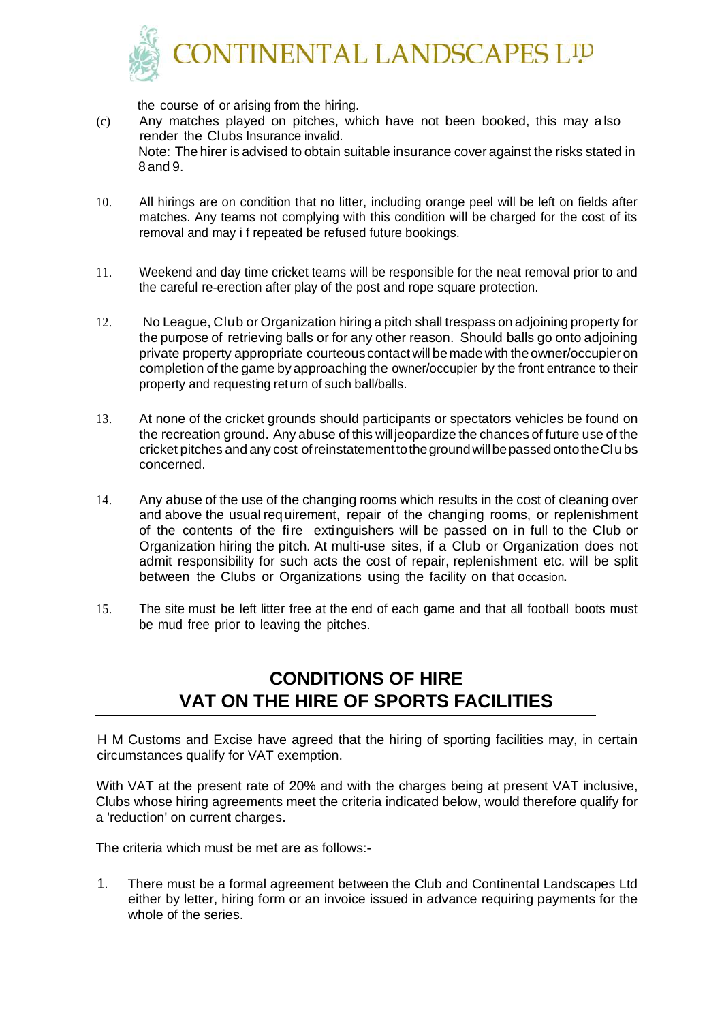

the course of or arising from the hiring.

(c) Any matches played on pitches, which have not been booked, this may a lso render the Clubs Insurance invalid. Note: The hirer is advised to obtain suitable insurance cover against the risks stated in 8 and 9.

- 10. All hirings are on condition that no litter, including orange peel will be left on fields after matches. Any teams not complying with this condition will be charged for the cost of its removal and may i f repeated be refused future bookings.
- 11. Weekend and day time cricket teams will be responsible for the neat removal prior to and the careful re-erection after play of the post and rope square protection.
- 12. No League, Club or Organization hiring a pitch shall trespass on adjoining property for the purpose of retrieving balls or for any other reason. Should balls go onto adjoining private property appropriate courteous contact will be made with theowner/occupieron completion of the game by approaching the owner/occupier by the front entrance to their property and requesting return of such ball/balls.
- 13. At none of the cricket grounds should participants or spectators vehicles be found on the recreation ground. Any abuse of this will jeopardize the chances of future use of the cricket pitches and any cost ofreinstatementtothegroundwillbepassedontotheClu bs concerned.
- 14. Any abuse of the use of the changing rooms which results in the cost of cleaning over and above the usual req uirement, repair of the changing rooms, or replenishment of the contents of the fire extinguishers will be passed on in full to the Club or Organization hiring the pitch. At multi-use sites, if a Club or Organization does not admit responsibility for such acts the cost of repair, replenishment etc. will be split between the Clubs or Organizations using the facility on that occasion**.**
- 15. The site must be left litter free at the end of each game and that all football boots must be mud free prior to leaving the pitches.

## **CONDITIONS OF HIRE VAT ON THE HIRE OF SPORTS FACILITIES**

H M Customs and Excise have agreed that the hiring of sporting facilities may, in certain circumstances qualify for VAT exemption.

With VAT at the present rate of 20% and with the charges being at present VAT inclusive, Clubs whose hiring agreements meet the criteria indicated below, would therefore qualify for a 'reduction' on current charges.

The criteria which must be met are as follows:-

1. There must be a formal agreement between the Club and Continental Landscapes Ltd either by letter, hiring form or an invoice issued in advance requiring payments for the whole of the series.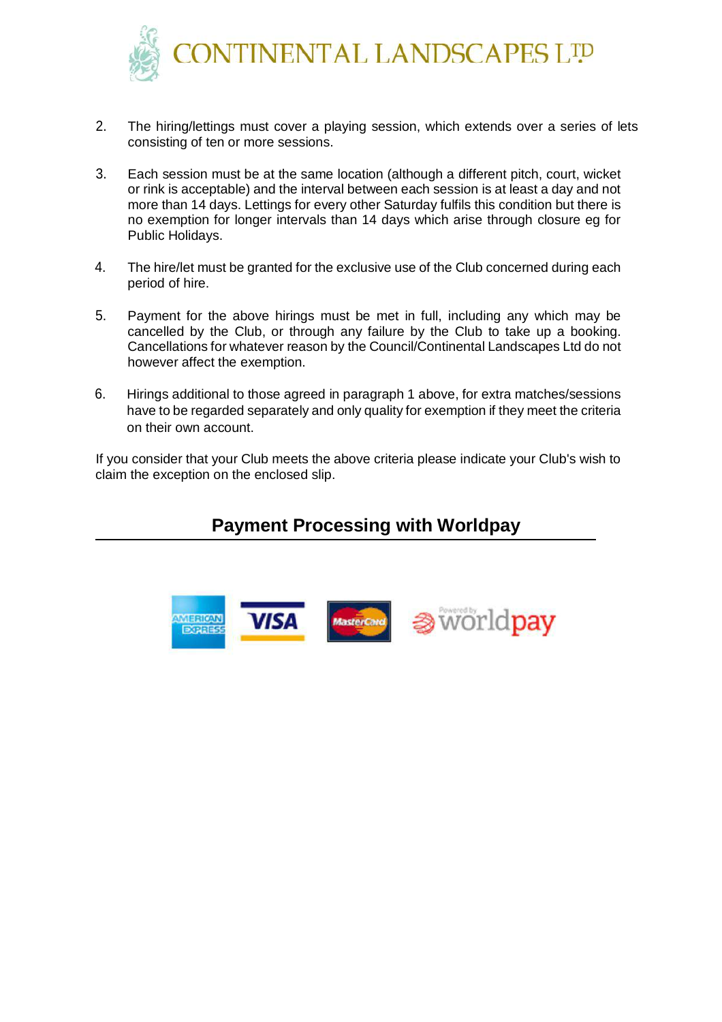

- 2. The hiring/lettings must cover a playing session, which extends over a series of lets consisting of ten or more sessions.
- 3. Each session must be at the same location (although a different pitch, court, wicket or rink is acceptable) and the interval between each session is at least a day and not more than 14 days. Lettings for every other Saturday fulfils this condition but there is no exemption for longer intervals than 14 days which arise through closure eg for Public Holidays.
- 4. The hire/let must be granted for the exclusive use of the Club concerned during each period of hire.
- 5. Payment for the above hirings must be met in full, including any which may be cancelled by the Club, or through any failure by the Club to take up a booking. Cancellations for whatever reason by the Council/Continental Landscapes Ltd do not however affect the exemption.
- 6. Hirings additional to those agreed in paragraph 1 above, for extra matches/sessions have to be regarded separately and only quality for exemption if they meet the criteria on their own account.

If you consider that your Club meets the above criteria please indicate your Club's wish to claim the exception on the enclosed slip.

## **Payment Processing with Worldpay**